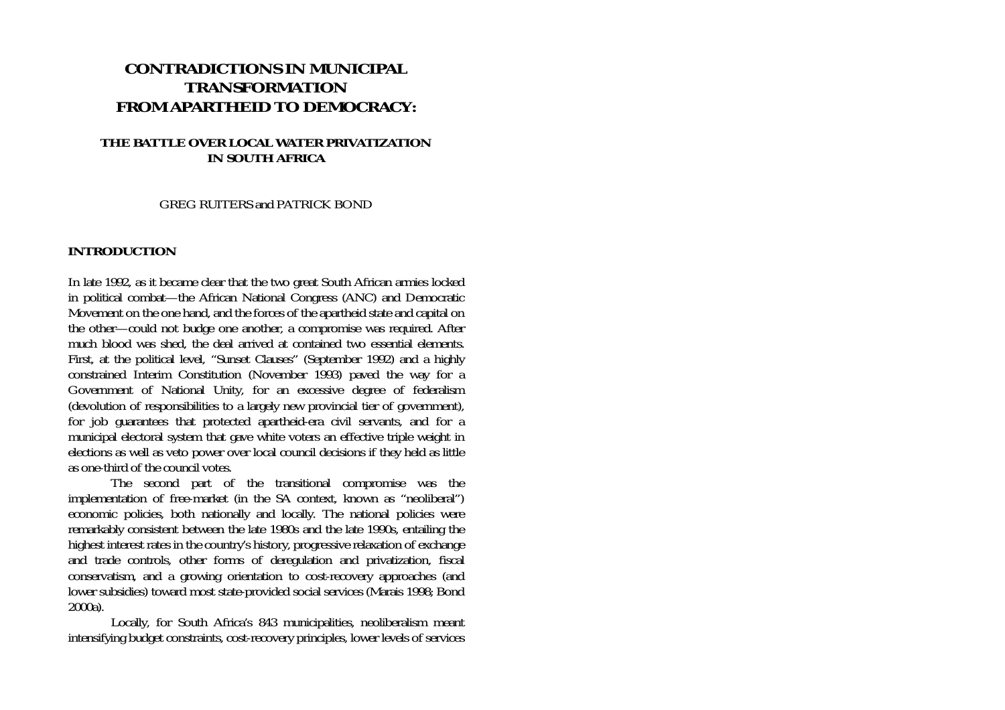# **CONTRADICTIONS IN MUNICIPAL TRANSFORMATION FROM APARTHEID TO DEMOCRACY:**

### **THE BATTLE OVER LOCAL WATER PRIVATIZATION IN SOUTH AFRICA**

GREG RUITERS and PATRICK BOND

#### **INTRODUCTION**

In late 1992, as it became clear that the two great South African armies locked in political combat—the African National Congress (ANC) and Democratic Movement on the one hand, and the forces of the apartheid state and capital on the other—could not budge one another, a compromise was required. After much blood was shed, the deal arrived at contained two essential elements. First, at the political level, "Sunset Clauses" (September 1992) and a highly constrained Interim Constitution (November 1993) paved the way for a Government of National Unity, for an excessive degree of federalism (devolution of responsibilities to a largely new provincial tier of government), for job guarantees that protected apartheid-era civil servants, and for a municipal electoral system that gave white voters an effective triple weight in elections as well as veto power over local council decisions if they held as little as one-third of the council votes.

 The second part of the transitional compromise was the implementation of free-market (in the SA context, known as "neoliberal") economic policies, both nationally and locally. The national policies were remarkably consistent between the late 1980s and the late 1990s, entailing the highest interest rates in the country's history, progressive relaxation of exchange and trade controls, other forms of deregulation and privatization, fiscal conservatism, and a growing orientation to cost-recovery approaches (and lower subsidies) toward most state-provided social services (Marais 1998; Bond 2000a).

 Locally, for South Africa's 843 municipalities, neoliberalism meant intensifying budget constraints, cost-recovery principles, lower levels of services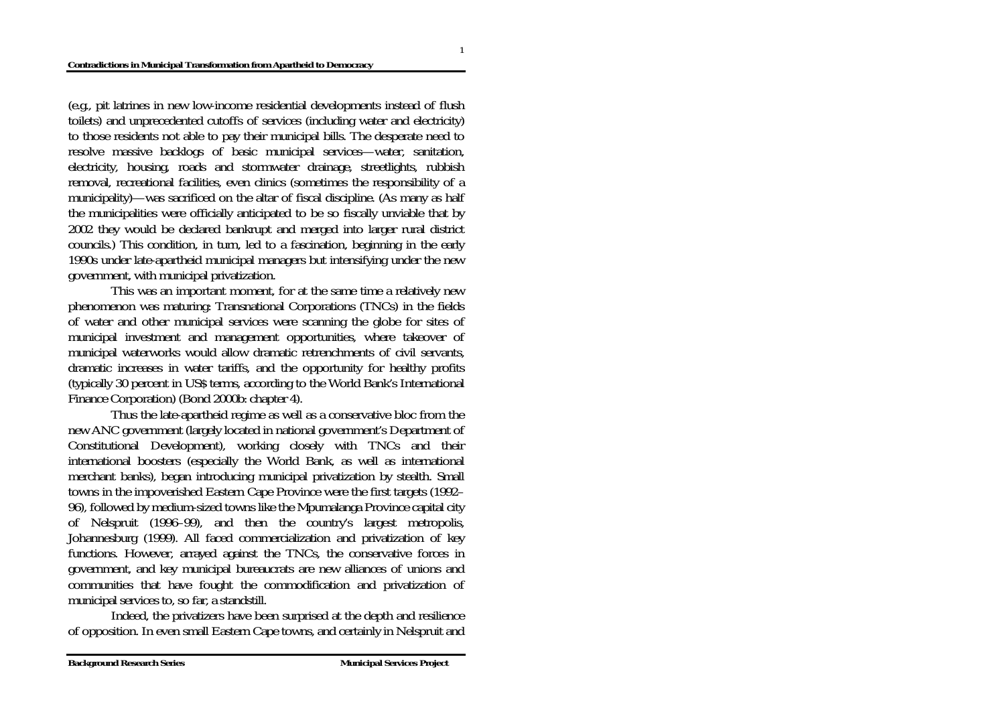(e.g., pit latrines in new low-income residential developments instead of flush toilets) and unprecedented cutoffs of services (including water and electricity) to those residents not able to pay their municipal bills. The desperate need to resolve massive backlogs of basic municipal services—water, sanitation, electricity, housing, roads and stormwater drainage, streetlights, rubbish removal, recreational facilities, even clinics (sometimes the responsibility of a municipality)—was sacrificed on the altar of fiscal discipline. (As many as half the municipalities were officially anticipated to be so fiscally unviable that by 2002 they would be declared bankrupt and merged into larger rural district councils.) This condition, in turn, led to a fascination, beginning in the early 1990s under late-apartheid municipal managers but intensifying under the new government, with municipal privatization.

 This was an important moment, for at the same time a relatively new phenomenon was maturing: Transnational Corporations (TNCs) in the fields of water and other municipal services were scanning the globe for sites of municipal investment and management opportunities, where takeover of municipal waterworks would allow dramatic retrenchments of civil servants, dramatic increases in water tariffs, and the opportunity for healthy profits (typically 30 percent in US\$ terms, according to the World Bank's International Finance Corporation) (Bond 2000b: chapter 4).

 Thus the late-apartheid regime as well as a conservative bloc from the new ANC government (largely located in national government's Department of Constitutional Development), working closely with TNCs and their international boosters (especially the World Bank, as well as international merchant banks), began introducing municipal privatization by stealth. Small towns in the impoverished Eastern Cape Province were the first targets (1992– 96), followed by medium-sized towns like the Mpumalanga Province capital city of Nelspruit (1996–99), and then the country's largest metropolis, Johannesburg (1999). All faced commercialization and privatization of key functions. However, arrayed against the TNCs, the conservative forces in government, and key municipal bureaucrats are new alliances of unions and communities that have fought the commodification and privatization of municipal services to, so far, a standstill.

 Indeed, the privatizers have been surprised at the depth and resilience of opposition. In even small Eastern Cape towns, and certainly in Nelspruit and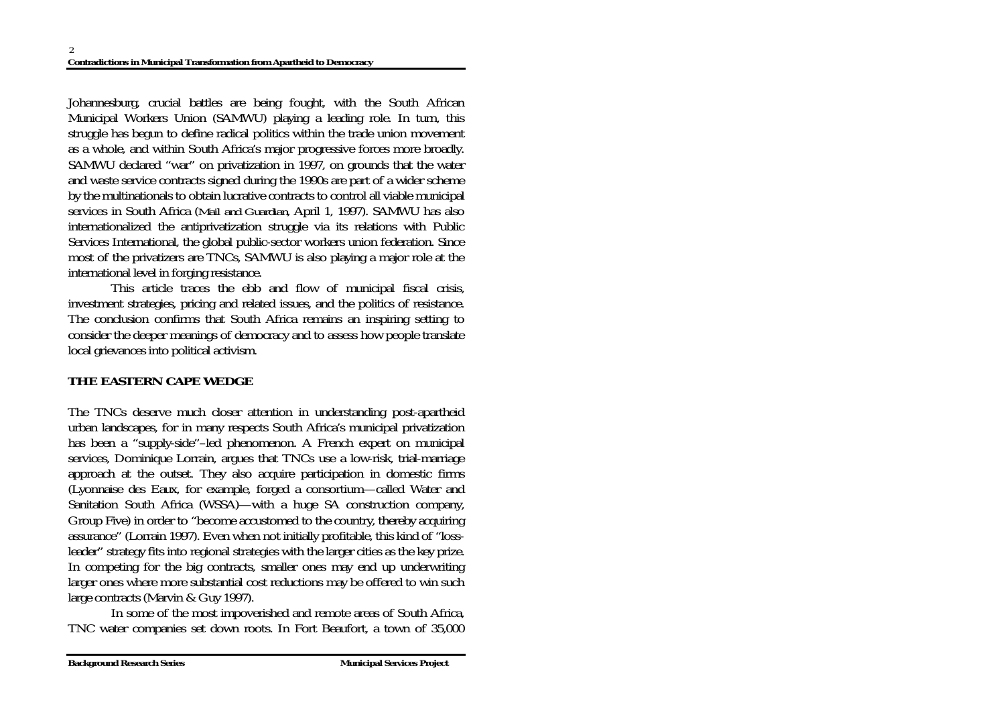Johannesburg, crucial battles are being fought, with the South African Municipal Workers Union (SAMWU) playing a leading role. In turn, this struggle has begun to define radical politics within the trade union movement as a whole, and within South Africa's major progressive forces more broadly. SAMWU declared "war" on privatization in 1997, on grounds that the water and waste service contracts signed during the 1990s are part of a wider scheme by the multinationals to obtain lucrative contracts to control all viable municipal services in South Africa (*Mail and Guardian*, April 1, 1997). SAMWU has also internationalized the antiprivatization struggle via its relations with Public Services International, the global public-sector workers union federation. Since most of the privatizers are TNCs, SAMWU is also playing a major role at the international level in forging resistance.

 This article traces the ebb and flow of municipal fiscal crisis, investment strategies, pricing and related issues, and the politics of resistance. The conclusion confirms that South Africa remains an inspiring setting to consider the deeper meanings of democracy and to assess how people translate local grievances into political activism.

# **THE EASTERN CAPE WEDGE**

The TNCs deserve much closer attention in understanding post-apartheid urban landscapes, for in many respects South Africa's municipal privatization has been a "supply-side"–led phenomenon. A French expert on municipal services, Dominique Lorrain, argues that TNCs use a low-risk, trial-marriage approach at the outset. They also acquire participation in domestic firms (Lyonnaise des Eaux, for example, forged a consortium—called Water and Sanitation South Africa (WSSA)—with a huge SA construction company, Group Five) in order to "become accustomed to the country, thereby acquiring assurance" (Lorrain 1997). Even when not initially profitable, this kind of "lossleader" strategy fits into regional strategies with the larger cities as the key prize. In competing for the big contracts, smaller ones may end up underwriting larger ones where more substantial cost reductions may be offered to win such large contracts (Marvin & Guy 1997).

 In some of the most impoverished and remote areas of South Africa, TNC water companies set down roots. In Fort Beaufort, a town of 35,000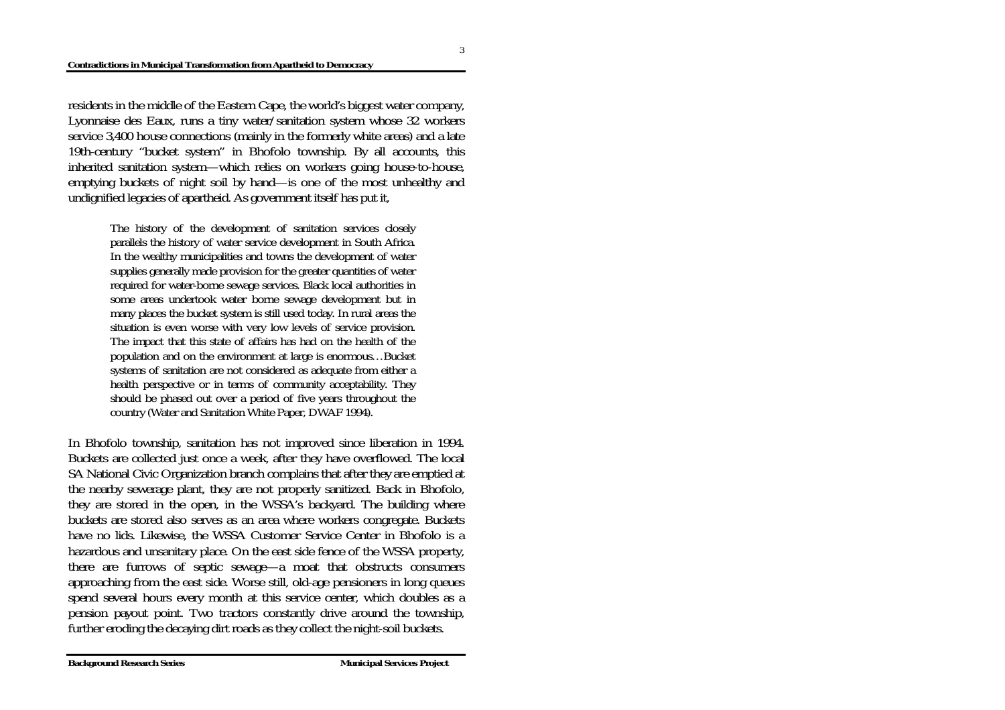residents in the middle of the Eastern Cape, the world's biggest water company, Lyonnaise des Eaux, runs a tiny water/sanitation system whose 32 workers service 3,400 house connections (mainly in the formerly white areas) and a late 19th-century "bucket system" in Bhofolo township. By all accounts, this inherited sanitation system—which relies on workers going house-to-house, emptying buckets of night soil by hand—is one of the most unhealthy and undignified legacies of apartheid. As government itself has put it,

> The history of the development of sanitation services closely parallels the history of water service development in South Africa. In the wealthy municipalities and towns the development of water supplies generally made provision for the greater quantities of water required for water-borne sewage services. Black local authorities in some areas undertook water borne sewage development but in many places the bucket system is still used today. In rural areas the situation is even worse with very low levels of service provision. The impact that this state of affairs has had on the health of the population and on the environment at large is enormous…Bucket systems of sanitation are not considered as adequate from either a health perspective or in terms of community acceptability. They should be phased out over a period of five years throughout the country (Water and Sanitation White Paper, DWAF 1994).

In Bhofolo township, sanitation has not improved since liberation in 1994. Buckets are collected just once a week, after they have overflowed. The local SA National Civic Organization branch complains that after they are emptied at the nearby sewerage plant, they are not properly sanitized. Back in Bhofolo, they are stored in the open, in the WSSA's backyard. The building where buckets are stored also serves as an area where workers congregate. Buckets have no lids. Likewise, the WSSA Customer Service Center in Bhofolo is a hazardous and unsanitary place. On the east side fence of the WSSA property, there are furrows of septic sewage—a moat that obstructs consumers approaching from the east side. Worse still, old-age pensioners in long queues spend several hours every month at this service center, which doubles as a pension payout point. Two tractors constantly drive around the township, further eroding the decaying dirt roads as they collect the night-soil buckets.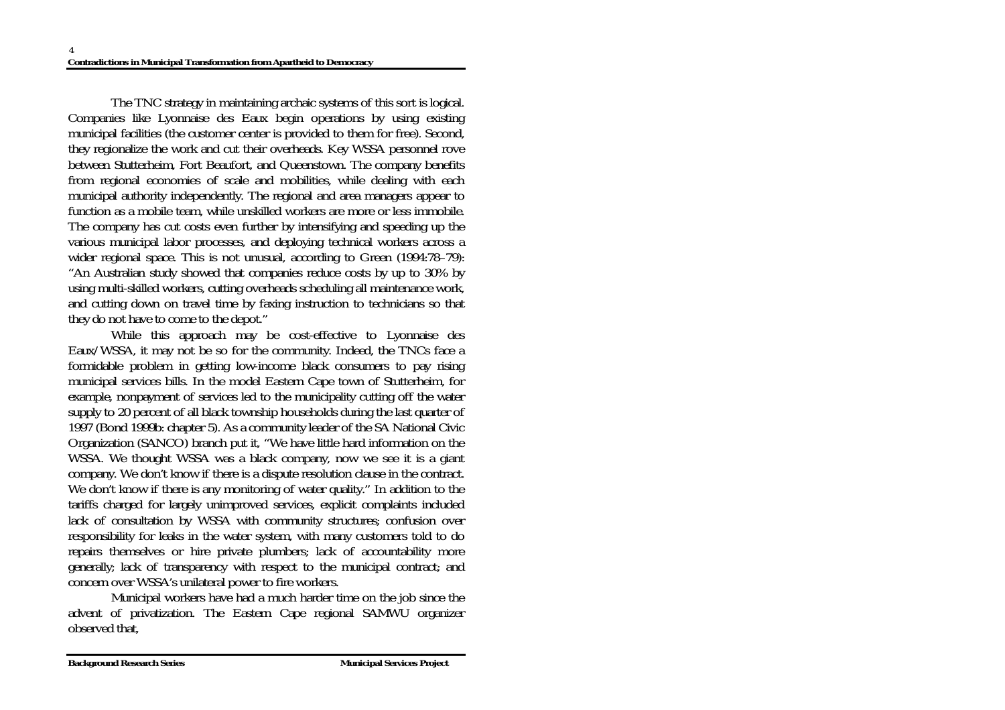The TNC strategy in maintaining archaic systems of this sort is logical. Companies like Lyonnaise des Eaux begin operations by using existing municipal facilities (the customer center is provided to them for free). Second, they regionalize the work and cut their overheads. Key WSSA personnel rove between Stutterheim, Fort Beaufort, and Queenstown. The company benefits from regional economies of scale and mobilities, while dealing with each municipal authority independently. The regional and area managers appear to function as a mobile team, while unskilled workers are more or less immobile. The company has cut costs even further by intensifying and speeding up the various municipal labor processes, and deploying technical workers across a wider regional space. This is not unusual, according to Green (1994:78–79): "An Australian study showed that companies reduce costs by up to 30% by using multi-skilled workers, cutting overheads scheduling all maintenance work, and cutting down on travel time by faxing instruction to technicians so that they do not have to come to the depot."

 While this approach may be cost-effective to Lyonnaise des Eaux/WSSA, it may not be so for the community. Indeed, the TNCs face a formidable problem in getting low-income black consumers to pay rising municipal services bills. In the model Eastern Cape town of Stutterheim, for example, nonpayment of services led to the municipality cutting off the water supply to 20 percent of all black township households during the last quarter of 1997 (Bond 1999b: chapter 5). As a community leader of the SA National Civic Organization (SANCO) branch put it, "We have little hard information on the WSSA. We thought WSSA was a black company, now we see it is a giant company. We don't know if there is a dispute resolution clause in the contract. We don't know if there is any monitoring of water quality." In addition to the tariffs charged for largely unimproved services, explicit complaints included lack of consultation by WSSA with community structures; confusion over responsibility for leaks in the water system, with many customers told to do repairs themselves or hire private plumbers; lack of accountability more generally; lack of transparency with respect to the municipal contract; and concern over WSSA's unilateral power to fire workers.

 Municipal workers have had a much harder time on the job since the advent of privatization. The Eastern Cape regional SAMWU organizer observed that,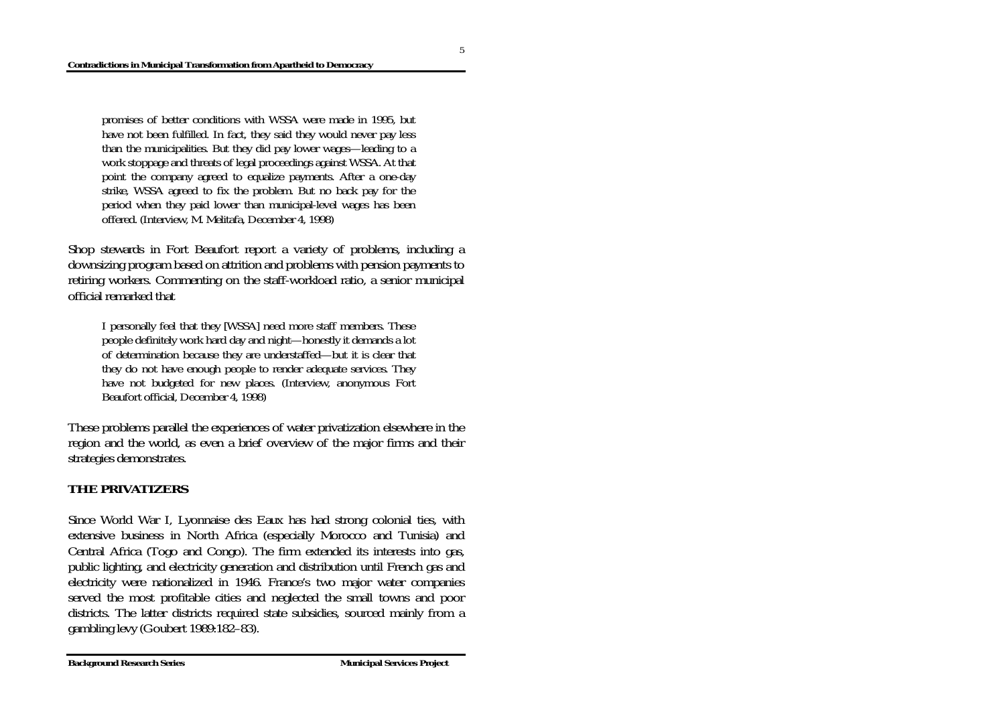promises of better conditions with WSSA were made in 1995, but have not been fulfilled. In fact, they said they would never pay less than the municipalities. But they did pay lower wages—leading to a work stoppage and threats of legal proceedings against WSSA. At that point the company agreed to equalize payments. After a one-day strike, WSSA agreed to fix the problem. But no back pay for the period when they paid lower than municipal-level wages has been offered. (Interview, M. Melitafa, December 4, 1998)

Shop stewards in Fort Beaufort report a variety of problems, including a downsizing program based on attrition and problems with pension payments to retiring workers. Commenting on the staff-workload ratio, a senior municipal official remarked that

I personally feel that they [WSSA] need more staff members. These people definitely work hard day and night—honestly it demands a lot of determination because they are understaffed—but it is clear that they do not have enough people to render adequate services. They have not budgeted for new places. (Interview, anonymous Fort Beaufort official, December 4, 1998)

These problems parallel the experiences of water privatization elsewhere in the region and the world, as even a brief overview of the major firms and their strategies demonstrates.

### **THE PRIVATIZERS**

Since World War I, Lyonnaise des Eaux has had strong colonial ties, with extensive business in North Africa (especially Morocco and Tunisia) and Central Africa (Togo and Congo). The firm extended its interests into gas, public lighting, and electricity generation and distribution until French gas and electricity were nationalized in 1946. France's two major water companies served the most profitable cities and neglected the small towns and poor districts. The latter districts required state subsidies, sourced mainly from a gambling levy (Goubert 1989:182–83).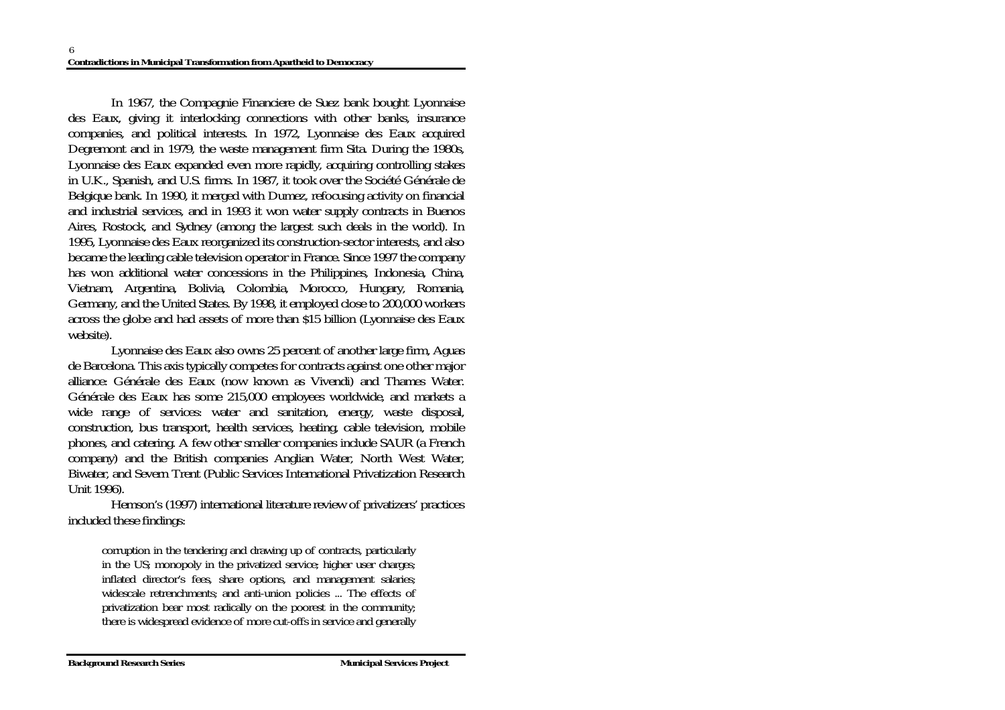In 1967, the Compagnie Financiere de Suez bank bought Lyonnaise des Eaux, giving it interlocking connections with other banks, insurance companies, and political interests. In 1972, Lyonnaise des Eaux acquired Degremont and in 1979, the waste management firm Sita. During the 1980s, Lyonnaise des Eaux expanded even more rapidly, acquiring controlling stakes in U.K., Spanish, and U.S. firms. In 1987, it took over the Société Générale de Belgique bank. In 1990, it merged with Dumez, refocusing activity on financial and industrial services, and in 1993 it won water supply contracts in Buenos Aires, Rostock, and Sydney (among the largest such deals in the world). In 1995, Lyonnaise des Eaux reorganized its construction-sector interests, and also became the leading cable television operator in France. Since 1997 the company has won additional water concessions in the Philippines, Indonesia, China, Vietnam, Argentina, Bolivia, Colombia, Morocco, Hungary, Romania, Germany, and the United States. By 1998, it employed close to 200,000 workers across the globe and had assets of more than \$15 billion (Lyonnaise des Eaux website).

 Lyonnaise des Eaux also owns 25 percent of another large firm, Aguas de Barcelona. This axis typically competes for contracts against one other major alliance: Générale des Eaux (now known as Vivendi) and Thames Water. Générale des Eaux has some 215,000 employees worldwide, and markets a wide range of services: water and sanitation, energy, waste disposal, construction, bus transport, health services, heating, cable television, mobile phones, and catering. A few other smaller companies include SAUR (a French company) and the British companies Anglian Water, North West Water, Biwater, and Severn Trent (Public Services International Privatization Research Unit 1996).

 Hemson's (1997) international literature review of privatizers' practices included these findings:

corruption in the tendering and drawing up of contracts, particularly in the US; monopoly in the privatized service; higher user charges; inflated director's fees, share options, and management salaries; widescale retrenchments; and anti-union policies ... The effects of privatization bear most radically on the poorest in the community; there is widespread evidence of more cut-offs in service and generally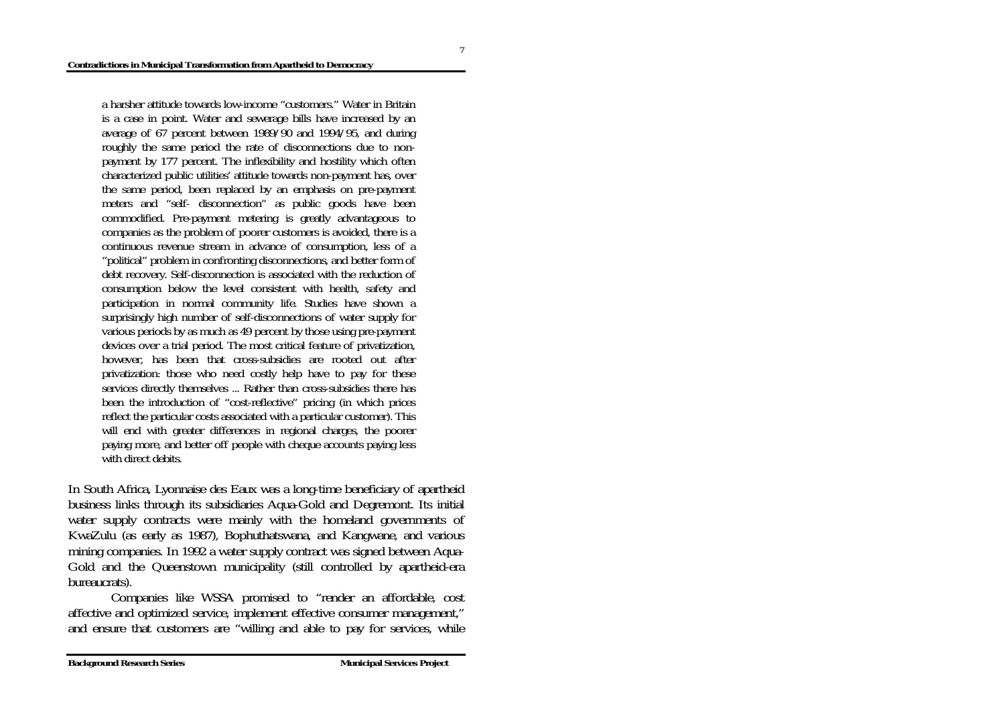a harsher attitude towards low-income "customers." Water in Britain is a case in point. Water and sewerage bills have increased by an average of 67 percent between 1989/90 and 1994/95, and during roughly the same period the rate of disconnections due to nonpayment by 177 percent. The inflexibility and hostility which often characterized public utilities' attitude towards non-payment has, over the same period, been replaced by an emphasis on pre-payment meters and "self- disconnection" as public goods have been commodified. Pre-payment metering is greatly advantageous to companies as the problem of poorer customers is avoided, there is a continuous revenue stream in advance of consumption, less of a "political" problem in confronting disconnections, and better form of debt recovery. Self-disconnection is associated with the reduction of consumption below the level consistent with health, safety and participation in normal community life. Studies have shown a surprisingly high number of self-disconnections of water supply for various periods by as much as 49 percent by those using pre-payment devices over a trial period. The most critical feature of privatization, however, has been that cross-subsidies are rooted out after privatization: those who need costly help have to pay for these services directly themselves ... Rather than cross-subsidies there has been the introduction of "cost-reflective" pricing (in which prices reflect the particular costs associated with a particular customer). This will end with greater differences in regional charges, the poorer paying more, and better off people with cheque accounts paying less with direct debits.

In South Africa, Lyonnaise des Eaux was a long-time beneficiary of apartheid business links through its subsidiaries Aqua-Gold and Degremont. Its initial water supply contracts were mainly with the homeland governments of KwaZulu (as early as 1987), Bophuthatswana, and Kangwane, and various mining companies. In 1992 a water supply contract was signed between Aqua-Gold and the Queenstown municipality (still controlled by apartheid-era bureaucrats).

 Companies like WSSA promised to "render an affordable, cost affective and optimized service, implement effective consumer management," and ensure that customers are "willing and able to pay for services, while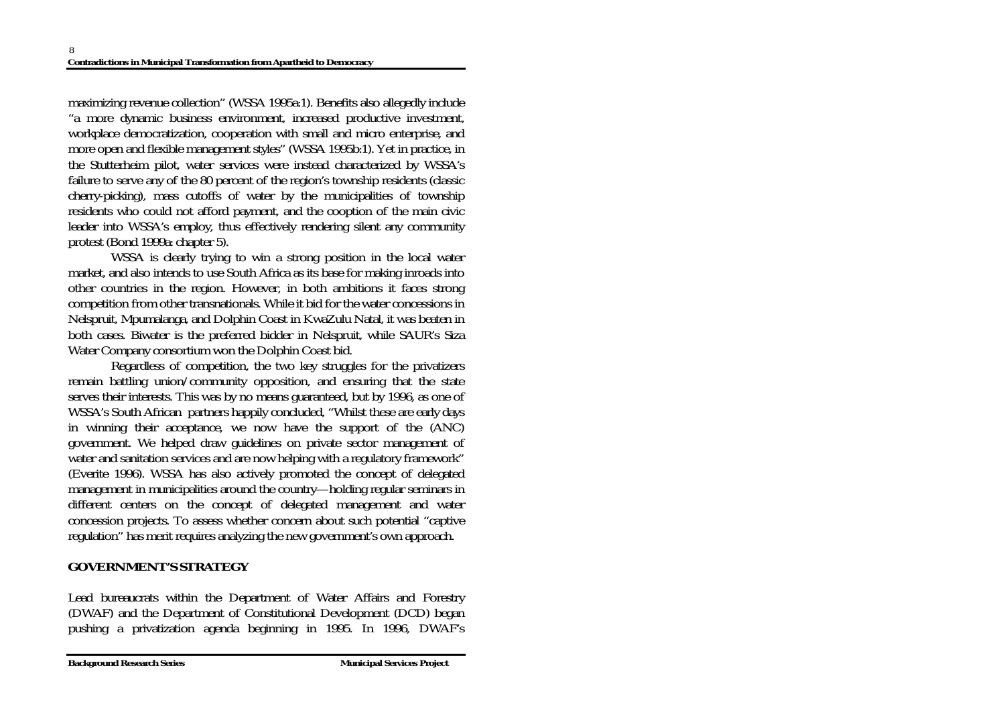maximizing revenue collection" (WSSA 1995a:1). Benefits also allegedly include "a more dynamic business environment, increased productive investment, workplace democratization, cooperation with small and micro enterprise, and more open and flexible management styles" (WSSA 1995b:1). Yet in practice, in the Stutterheim pilot, water services were instead characterized by WSSA's failure to serve any of the 80 percent of the region's township residents (classic cherry-picking), mass cutoffs of water by the municipalities of township residents who could not afford payment, and the cooption of the main civic leader into WSSA's employ, thus effectively rendering silent any community protest (Bond 1999a: chapter 5).

 WSSA is clearly trying to win a strong position in the local water market, and also intends to use South Africa as its base for making inroads into other countries in the region. However, in both ambitions it faces strong competition from other transnationals. While it bid for the water concessions in Nelspruit, Mpumalanga, and Dolphin Coast in KwaZulu Natal, it was beaten in both cases. Biwater is the preferred bidder in Nelspruit, while SAUR's Siza Water Company consortium won the Dolphin Coast bid.

 Regardless of competition, the two key struggles for the privatizers remain battling union/community opposition, and ensuring that the state serves their interests. This was by no means guaranteed, but by 1996, as one of WSSA's South African partners happily concluded, "Whilst these are early days in winning their acceptance, we now have the support of the (ANC) government. We helped draw guidelines on private sector management of water and sanitation services and are now helping with a regulatory framework" (Everite 1996). WSSA has also actively promoted the concept of delegated management in municipalities around the country—holding regular seminars in different centers on the concept of delegated management and water concession projects. To assess whether concern about such potential "captive regulation" has merit requires analyzing the new government's own approach.

### **GOVERNMENT'S STRATEGY**

Lead bureaucrats within the Department of Water Affairs and Forestry (DWAF) and the Department of Constitutional Development (DCD) began pushing a privatization agenda beginning in 1995. In 1996, DWAF's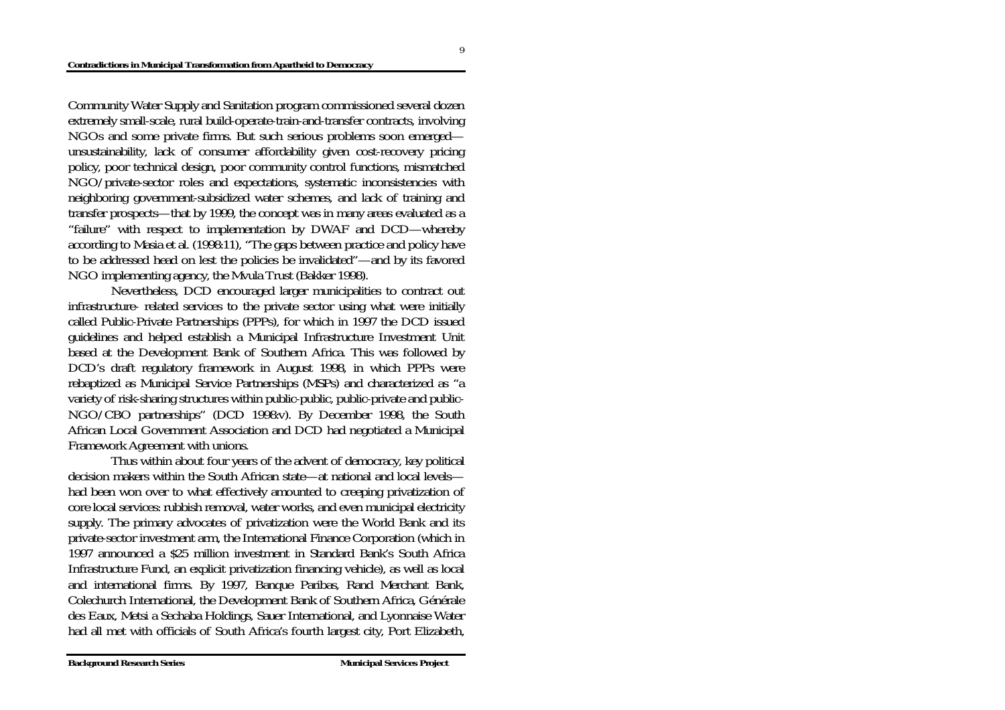Community Water Supply and Sanitation program commissioned several dozen extremely small-scale, rural build-operate-train-and-transfer contracts, involving NGOs and some private firms. But such serious problems soon emerged unsustainability, lack of consumer affordability given cost-recovery pricing policy, poor technical design, poor community control functions, mismatched NGO/private-sector roles and expectations, systematic inconsistencies with neighboring government-subsidized water schemes, and lack of training and transfer prospects—that by 1999, the concept was in many areas evaluated as a "failure" with respect to implementation by DWAF and DCD—whereby according to Masia et al. (1998:11), "The gaps between practice and policy have to be addressed head on lest the policies be invalidated"—and by its favored NGO implementing agency, the Mvula Trust (Bakker 1998).

 Nevertheless, DCD encouraged larger municipalities to contract out infrastructure- related services to the private sector using what were initially called Public-Private Partnerships (PPPs), for which in 1997 the DCD issued guidelines and helped establish a Municipal Infrastructure Investment Unit based at the Development Bank of Southern Africa. This was followed by DCD's draft regulatory framework in August 1998, in which PPPs were rebaptized as Municipal Service Partnerships (MSPs) and characterized as "a variety of risk-sharing structures within public-public, public-private and public-NGO/CBO partnerships" (DCD 1998:v). By December 1998, the South African Local Government Association and DCD had negotiated a Municipal Framework Agreement with unions.

 Thus within about four years of the advent of democracy, key political decision makers within the South African state—at national and local levelshad been won over to what effectively amounted to creeping privatization of core local services: rubbish removal, water works, and even municipal electricity supply. The primary advocates of privatization were the World Bank and its private-sector investment arm, the International Finance Corporation (which in 1997 announced a \$25 million investment in Standard Bank's South Africa Infrastructure Fund, an explicit privatization financing vehicle), as well as local and international firms. By 1997, Banque Paribas, Rand Merchant Bank, Colechurch International, the Development Bank of Southern Africa, Générale des Eaux, Metsi a Sechaba Holdings, Sauer International, and Lyonnaise Water had all met with officials of South Africa's fourth largest city, Port Elizabeth,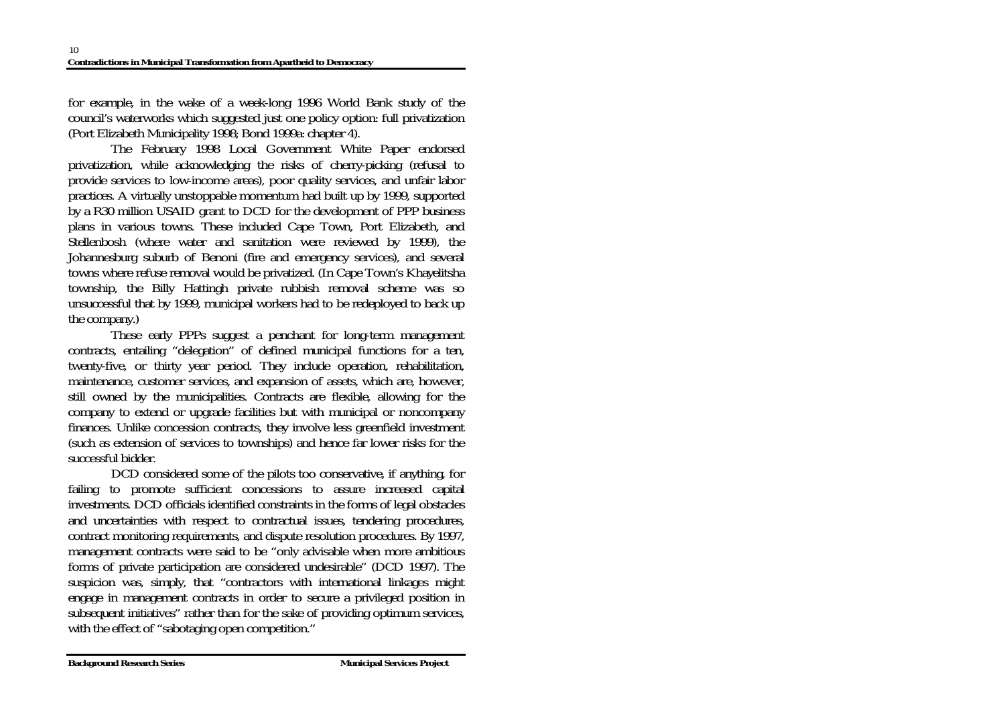for example, in the wake of a week-long 1996 World Bank study of the council's waterworks which suggested just one policy option: full privatization (Port Elizabeth Municipality 1998; Bond 1999a: chapter 4).

 The February 1998 Local Government White Paper endorsed privatization, while acknowledging the risks of cherry-picking (refusal to provide services to low-income areas), poor quality services, and unfair labor practices. A virtually unstoppable momentum had built up by 1999, supported by a R30 million USAID grant to DCD for the development of PPP business plans in various towns. These included Cape Town, Port Elizabeth, and Stellenbosh (where water and sanitation were reviewed by 1999), the Johannesburg suburb of Benoni (fire and emergency services), and several towns where refuse removal would be privatized. (In Cape Town's Khayelitsha township, the Billy Hattingh private rubbish removal scheme was so unsuccessful that by 1999, municipal workers had to be redeployed to back up the company.)

 These early PPPs suggest a penchant for long-term management contracts, entailing "delegation" of defined municipal functions for a ten, twenty-five, or thirty year period. They include operation, rehabilitation, maintenance, customer services, and expansion of assets, which are, however, still owned by the municipalities. Contracts are flexible, allowing for the company to extend or upgrade facilities but with municipal or noncompany finances. Unlike concession contracts, they involve less greenfield investment (such as extension of services to townships) and hence far lower risks for the successful bidder.

 DCD considered some of the pilots too conservative, if anything, for failing to promote sufficient concessions to assure increased capital investments. DCD officials identified constraints in the forms of legal obstacles and uncertainties with respect to contractual issues, tendering procedures, contract monitoring requirements, and dispute resolution procedures. By 1997, management contracts were said to be "only advisable when more ambitious forms of private participation are considered undesirable" (DCD 1997). The suspicion was, simply, that "contractors with international linkages might engage in management contracts in order to secure a privileged position in subsequent initiatives" rather than for the sake of providing optimum services, with the effect of "sabotaging open competition."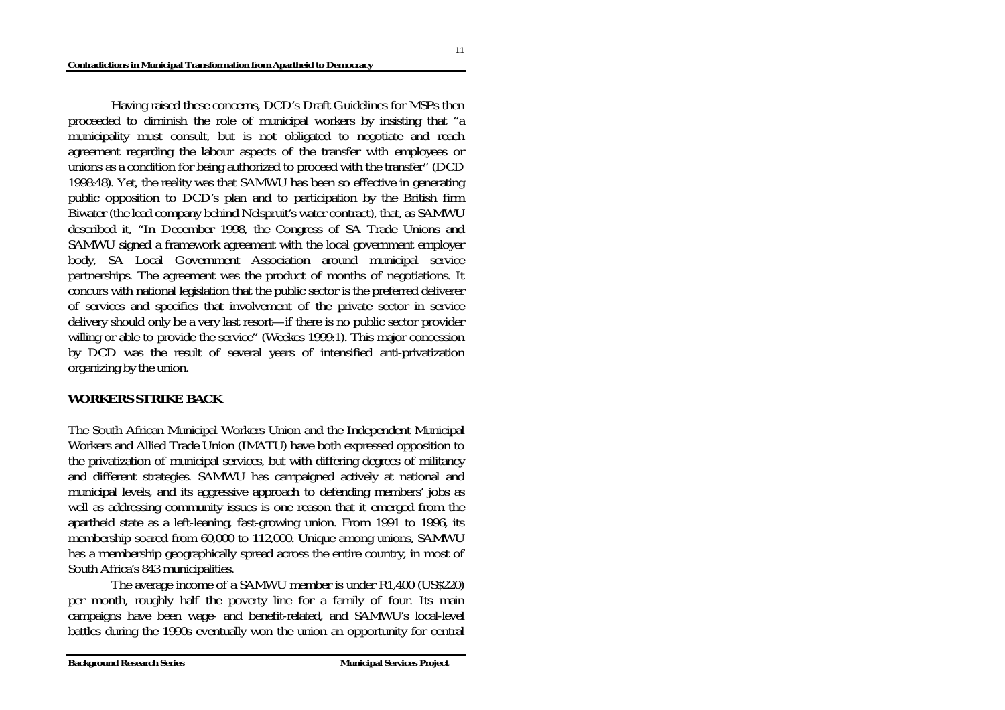Having raised these concerns, DCD's Draft Guidelines for MSPs then proceeded to diminish the role of municipal workers by insisting that "a municipality must consult, but is not obligated to negotiate and reach agreement regarding the labour aspects of the transfer with employees or unions as a condition for being authorized to proceed with the transfer" (DCD 1998:48). Yet, the reality was that SAMWU has been so effective in generating public opposition to DCD's plan and to participation by the British firm Biwater (the lead company behind Nelspruit's water contract), that, as SAMWU described it, "In December 1998, the Congress of SA Trade Unions and SAMWU signed a framework agreement with the local government employer body, SA Local Government Association around municipal service partnerships. The agreement was the product of months of negotiations. It concurs with national legislation that the public sector is the preferred deliverer of services and specifies that involvement of the private sector in service delivery should only be a very last resort—if there is no public sector provider willing or able to provide the service" (Weekes 1999:1). This major concession by DCD was the result of several years of intensified anti-privatization organizing by the union.

#### **WORKERS STRIKE BACK**

The South African Municipal Workers Union and the Independent Municipal Workers and Allied Trade Union (IMATU) have both expressed opposition to the privatization of municipal services, but with differing degrees of militancy and different strategies. SAMWU has campaigned actively at national and municipal levels, and its aggressive approach to defending members' jobs as well as addressing community issues is one reason that it emerged from the apartheid state as a left-leaning, fast-growing union. From 1991 to 1996, its membership soared from 60,000 to 112,000. Unique among unions, SAMWU has a membership geographically spread across the entire country, in most of South Africa's 843 municipalities.

 The average income of a SAMWU member is under R1,400 (US\$220) per month, roughly half the poverty line for a family of four. Its main campaigns have been wage- and benefit-related, and SAMWU's local-level battles during the 1990s eventually won the union an opportunity for central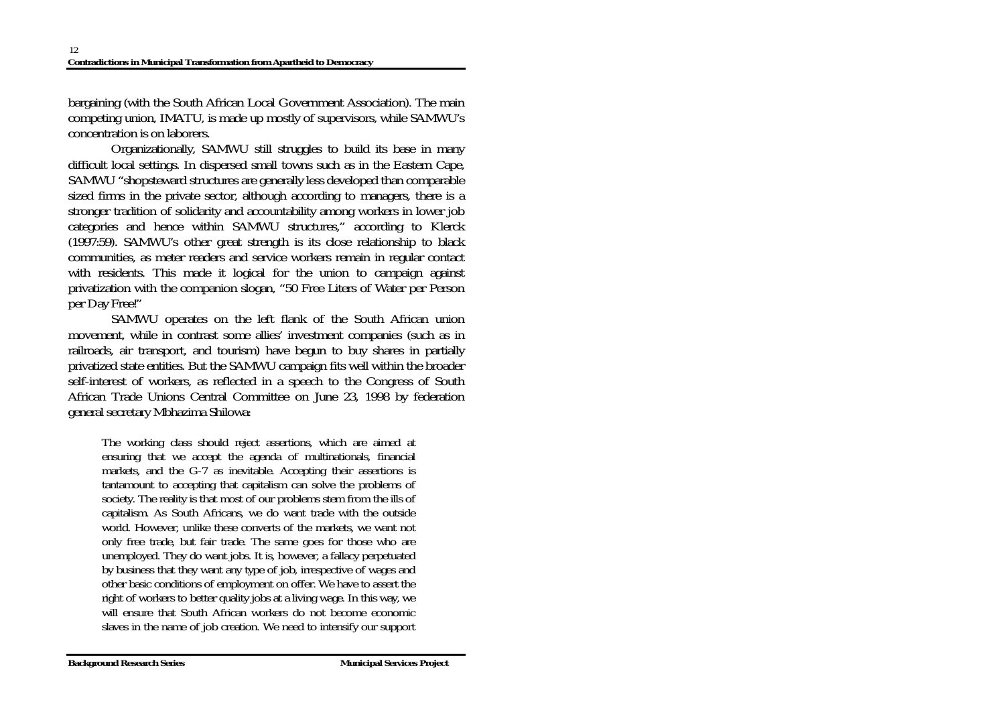bargaining (with the South African Local Government Association). The main competing union, IMATU, is made up mostly of supervisors, while SAMWU's concentration is on laborers.

 Organizationally, SAMWU still struggles to build its base in many difficult local settings. In dispersed small towns such as in the Eastern Cape, SAMWU "shopsteward structures are generally less developed than comparable sized firms in the private sector, although according to managers, there is a stronger tradition of solidarity and accountability among workers in lower job categories and hence within SAMWU structures," according to Klerck (1997:59). SAMWU's other great strength is its close relationship to black communities, as meter readers and service workers remain in regular contact with residents. This made it logical for the union to campaign against privatization with the companion slogan, "50 Free Liters of Water per Person per Day Free!"

 SAMWU operates on the left flank of the South African union movement, while in contrast some allies' investment companies (such as in railroads, air transport, and tourism) have begun to buy shares in partially privatized state entities. But the SAMWU campaign fits well within the broader self-interest of workers, as reflected in a speech to the Congress of South African Trade Unions Central Committee on June 23, 1998 by federation general secretary Mbhazima Shilowa:

The working class should reject assertions, which are aimed at ensuring that we accept the agenda of multinationals, financial markets, and the G-7 as inevitable. Accepting their assertions is tantamount to accepting that capitalism can solve the problems of society. The reality is that most of our problems stem from the ills of capitalism. As South Africans, we do want trade with the outside world. However, unlike these converts of the markets, we want not only free trade, but fair trade. The same goes for those who are unemployed. They do want jobs. It is, however, a fallacy perpetuated by business that they want any type of job, irrespective of wages and other basic conditions of employment on offer. We have to assert the right of workers to better quality jobs at a living wage. In this way, we will ensure that South African workers do not become economic slaves in the name of job creation. We need to intensify our support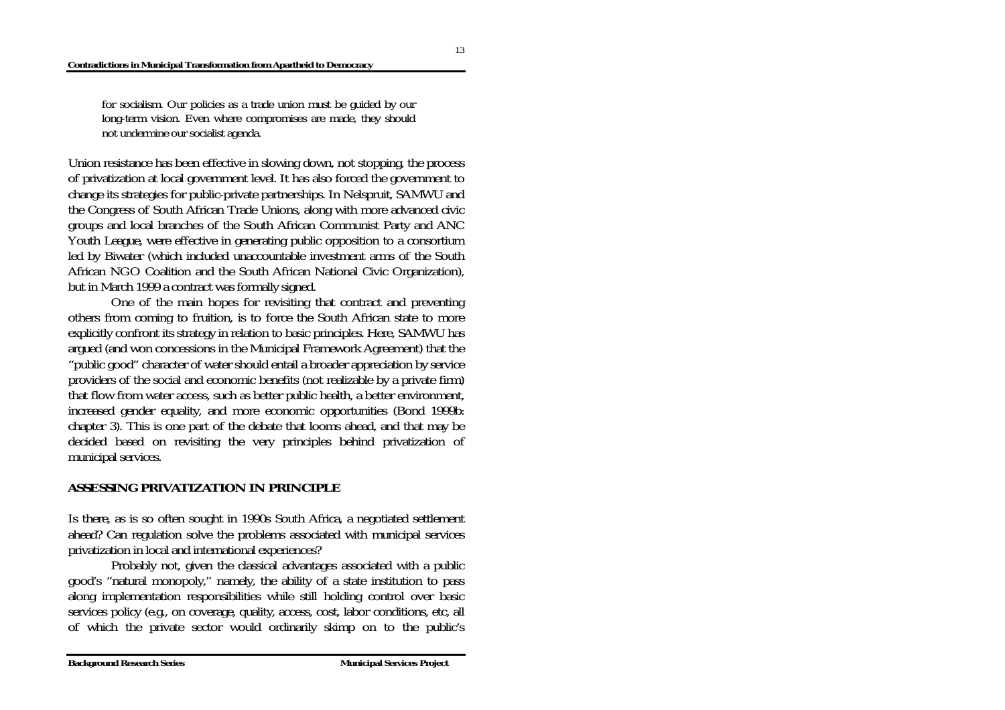for socialism. Our policies as a trade union must be guided by our long-term vision. Even where compromises are made, they should not undermine our socialist agenda.

Union resistance has been effective in slowing down, not stopping, the process of privatization at local government level. It has also forced the government to change its strategies for public-private partnerships. In Nelspruit, SAMWU and the Congress of South African Trade Unions, along with more advanced civic groups and local branches of the South African Communist Party and ANC Youth League, were effective in generating public opposition to a consortium led by Biwater (which included unaccountable investment arms of the South African NGO Coalition and the South African National Civic Organization), but in March 1999 a contract was formally signed.

 One of the main hopes for revisiting that contract and preventing others from coming to fruition, is to force the South African state to more explicitly confront its strategy in relation to basic principles. Here, SAMWU has argued (and won concessions in the Municipal Framework Agreement) that the "public good" character of water should entail a broader appreciation by service providers of the social and economic benefits (not realizable by a private firm) that flow from water access, such as better public health, a better environment, increased gender equality, and more economic opportunities (Bond 1999b: chapter 3). This is one part of the debate that looms ahead, and that may be decided based on revisiting the very principles behind privatization of municipal services.

#### **ASSESSING PRIVATIZATION IN PRINCIPLE**

Is there, as is so often sought in 1990s South Africa, a negotiated settlement ahead? Can regulation solve the problems associated with municipal services privatization in local and international experiences?

 Probably not, given the classical advantages associated with a public good's "natural monopoly," namely, the ability of a state institution to pass along implementation responsibilities while still holding control over basic services policy (e.g., on coverage, quality, access, cost, labor conditions, etc, all of which the private sector would ordinarily skimp on to the public's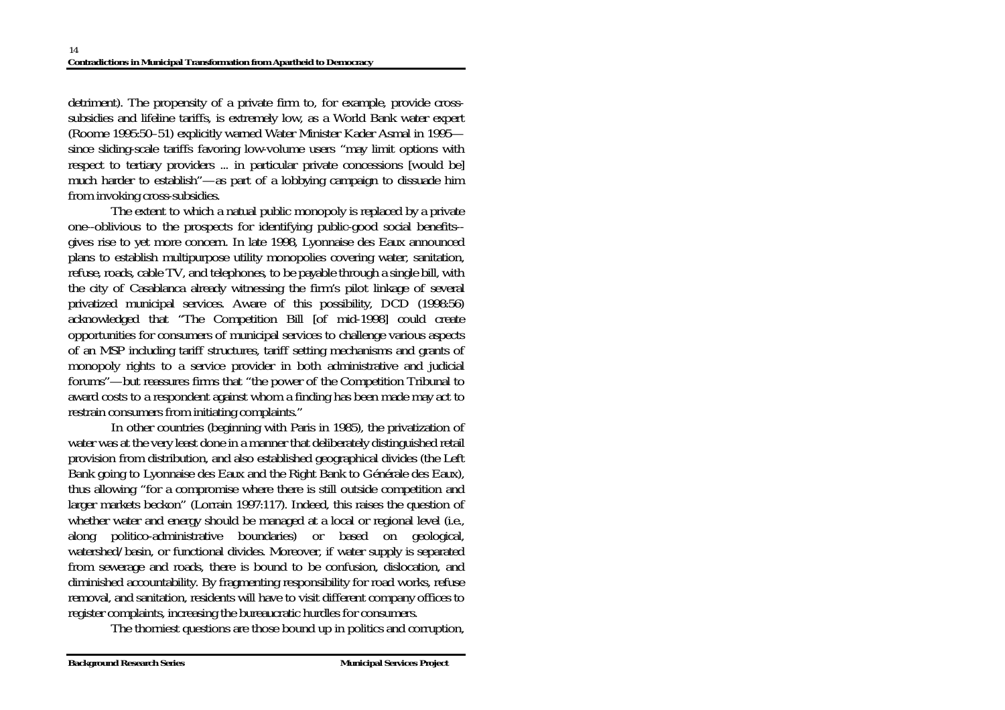detriment). The propensity of a private firm to, for example, provide crosssubsidies and lifeline tariffs, is extremely low, as a World Bank water expert (Roome 1995:50–51) explicitly warned Water Minister Kader Asmal in 1995 since sliding-scale tariffs favoring low-volume users "may limit options with respect to tertiary providers ... in particular private concessions [would be] much harder to establish"—as part of a lobbying campaign to dissuade him from invoking cross-subsidies.

 The extent to which a natual public monopoly is replaced by a private one--oblivious to the prospects for identifying public-good social benefits- gives rise to yet more concern. In late 1998, Lyonnaise des Eaux announced plans to establish multipurpose utility monopolies covering water, sanitation, refuse, roads, cable TV, and telephones, to be payable through a single bill, with the city of Casablanca already witnessing the firm's pilot linkage of several privatized municipal services. Aware of this possibility, DCD (1998:56) acknowledged that "The Competition Bill [of mid-1998] could create opportunities for consumers of municipal services to challenge various aspects of an MSP including tariff structures, tariff setting mechanisms and grants of monopoly rights to a service provider in both administrative and judicial forums"—but reassures firms that "the power of the Competition Tribunal to award costs to a respondent against whom a finding has been made may act to restrain consumers from initiating complaints."

 In other countries (beginning with Paris in 1985), the privatization of water was at the very least done in a manner that deliberately distinguished retail provision from distribution, and also established geographical divides (the Left Bank going to Lyonnaise des Eaux and the Right Bank to Générale des Eaux), thus allowing "for a compromise where there is still outside competition and larger markets beckon" (Lorrain 1997:117). Indeed, this raises the question of whether water and energy should be managed at a local or regional level (i.e., along politico-administrative boundaries) or based on geological, watershed/basin, or functional divides. Moreover, if water supply is separated from sewerage and roads, there is bound to be confusion, dislocation, and diminished accountability. By fragmenting responsibility for road works, refuse removal, and sanitation, residents will have to visit different company offices to register complaints, increasing the bureaucratic hurdles for consumers.

The thorniest questions are those bound up in politics and corruption,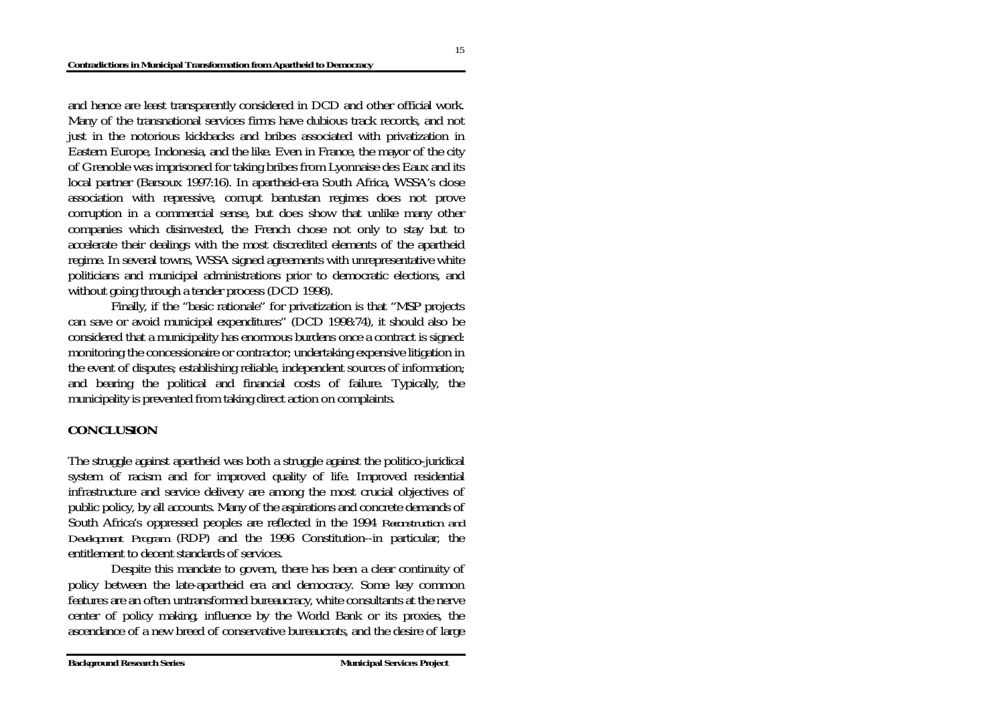and hence are least transparently considered in DCD and other official work. Many of the transnational services firms have dubious track records, and not just in the notorious kickbacks and bribes associated with privatization in Eastern Europe, Indonesia, and the like. Even in France, the mayor of the city of Grenoble was imprisoned for taking bribes from Lyonnaise des Eaux and its local partner (Barsoux 1997:16). In apartheid-era South Africa, WSSA's close association with repressive, corrupt bantustan regimes does not prove corruption in a commercial sense, but does show that unlike many other companies which disinvested, the French chose not only to stay but to accelerate their dealings with the most discredited elements of the apartheid regime. In several towns, WSSA signed agreements with unrepresentative white politicians and municipal administrations prior to democratic elections, and without going through a tender process (DCD 1998).

 Finally, if the "basic rationale" for privatization is that "MSP projects can save or avoid municipal expenditures" (DCD 1998:74), it should also be considered that a municipality has enormous burdens once a contract is signed: monitoring the concessionaire or contractor; undertaking expensive litigation in the event of disputes; establishing reliable, independent sources of information; and bearing the political and financial costs of failure. Typically, the municipality is prevented from taking direct action on complaints.

### **CONCLUSION**

The struggle against apartheid was both a struggle against the politico-juridical system of racism and for improved quality of life. Improved residential infrastructure and service delivery are among the most crucial objectives of public policy, by all accounts. Many of the aspirations and concrete demands of South Africa's oppressed peoples are reflected in the 1994 *Reconstruction and Development Program* (RDP) and the 1996 Constitution--in particular, the entitlement to decent standards of services.

 Despite this mandate to govern, there has been a clear continuity of policy between the late-apartheid era and democracy. Some key common features are an often untransformed bureaucracy, white consultants at the nerve center of policy making, influence by the World Bank or its proxies, the ascendance of a new breed of conservative bureaucrats, and the desire of large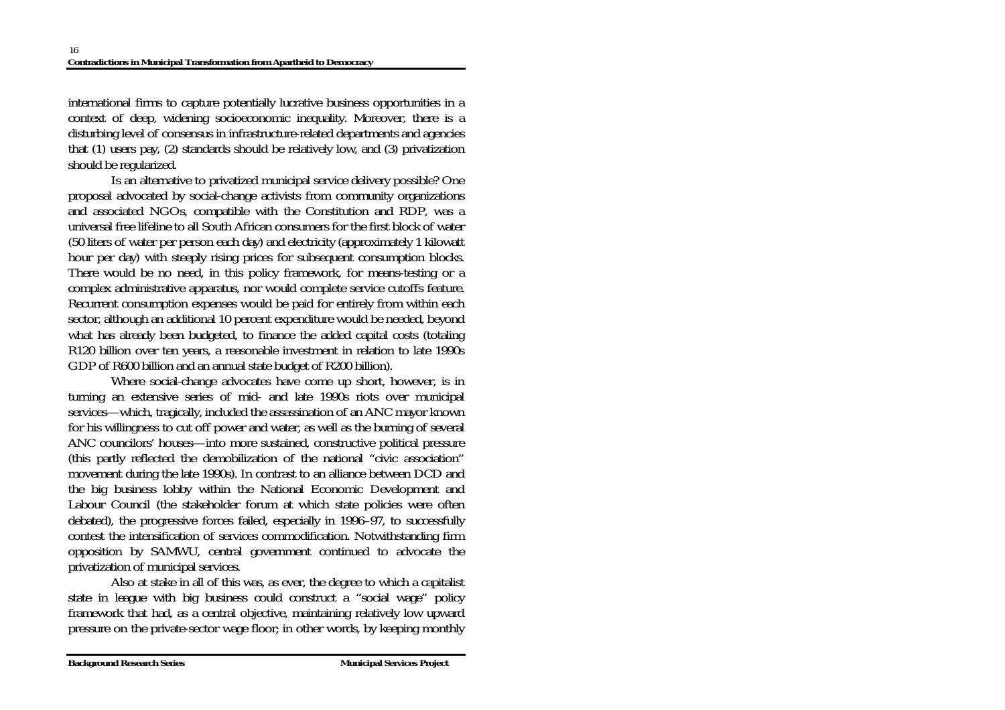international firms to capture potentially lucrative business opportunities in a context of deep, widening socioeconomic inequality. Moreover, there is a disturbing level of consensus in infrastructure-related departments and agencies that (1) users pay, (2) standards should be relatively low, and (3) privatization should be regularized.

 Is an alternative to privatized municipal service delivery possible? One proposal advocated by social-change activists from community organizations and associated NGOs, compatible with the Constitution and RDP, was a universal free lifeline to all South African consumers for the first block of water (50 liters of water per person each day) and electricity (approximately 1 kilowatt hour per day) with steeply rising prices for subsequent consumption blocks. There would be no need, in this policy framework, for means-testing or a complex administrative apparatus, nor would complete service cutoffs feature. Recurrent consumption expenses would be paid for entirely from within each sector, although an additional 10 percent expenditure would be needed, beyond what has already been budgeted, to finance the added capital costs (totaling R120 billion over ten years, a reasonable investment in relation to late 1990s GDP of R600 billion and an annual state budget of R200 billion).

 Where social-change advocates have come up short, however, is in turning an extensive series of mid- and late 1990s riots over municipal services—which, tragically, included the assassination of an ANC mayor known for his willingness to cut off power and water, as well as the burning of several ANC councilors' houses—into more sustained, constructive political pressure (this partly reflected the demobilization of the national "civic association" movement during the late 1990s). In contrast to an alliance between DCD and the big business lobby within the National Economic Development and Labour Council (the stakeholder forum at which state policies were often debated), the progressive forces failed, especially in 1996–97, to successfully contest the intensification of services commodification. Notwithstanding firm opposition by SAMWU, central government continued to advocate the privatization of municipal services.

 Also at stake in all of this was, as ever, the degree to which a capitalist state in league with big business could construct a "social wage" policy framework that had, as a central objective, maintaining relatively low upward pressure on the private-sector wage floor; in other words, by keeping monthly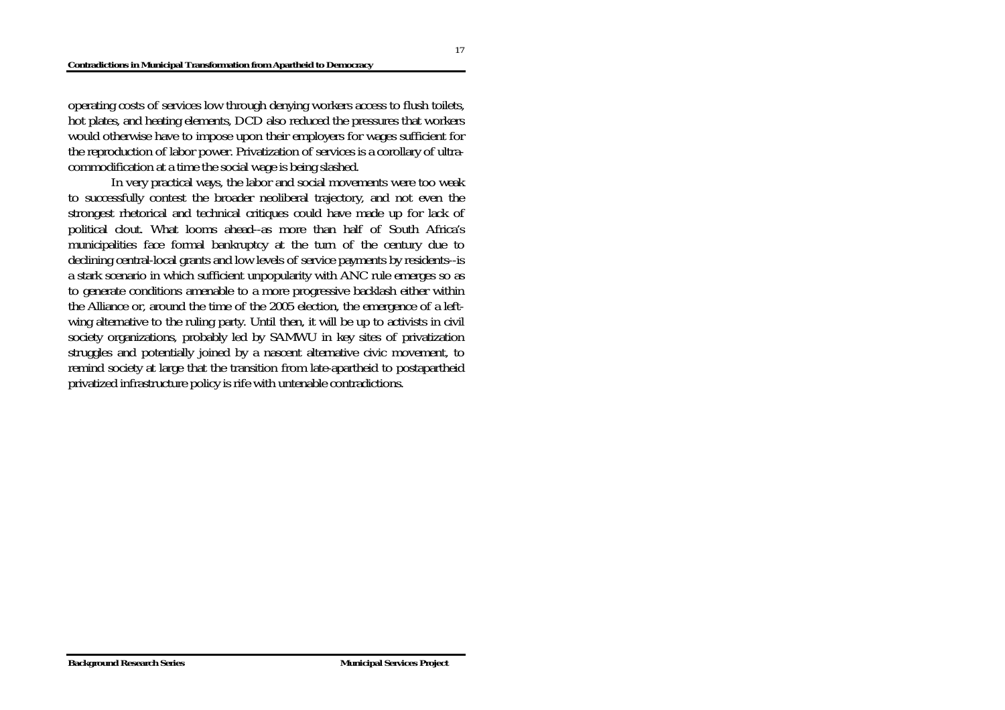operating costs of services low through denying workers access to flush toilets, hot plates, and heating elements, DCD also reduced the pressures that workers would otherwise have to impose upon their employers for wages sufficient for the reproduction of labor power. Privatization of services is a corollary of ultracommodification at a time the social wage is being slashed.

 In very practical ways, the labor and social movements were too weak to successfully contest the broader neoliberal trajectory, and not even the strongest rhetorical and technical critiques could have made up for lack of political clout. What looms ahead--as more than half of South Africa's municipalities face formal bankruptcy at the turn of the century due to declining central-local grants and low levels of service payments by residents--is a stark scenario in which sufficient unpopularity with ANC rule emerges so as to generate conditions amenable to a more progressive backlash either within the Alliance or, around the time of the 2005 election, the emergence of a leftwing alternative to the ruling party. Until then, it will be up to activists in civil society organizations, probably led by SAMWU in key sites of privatization struggles and potentially joined by a nascent alternative civic movement, to remind society at large that the transition from late-apartheid to postapartheid privatized infrastructure policy is rife with untenable contradictions.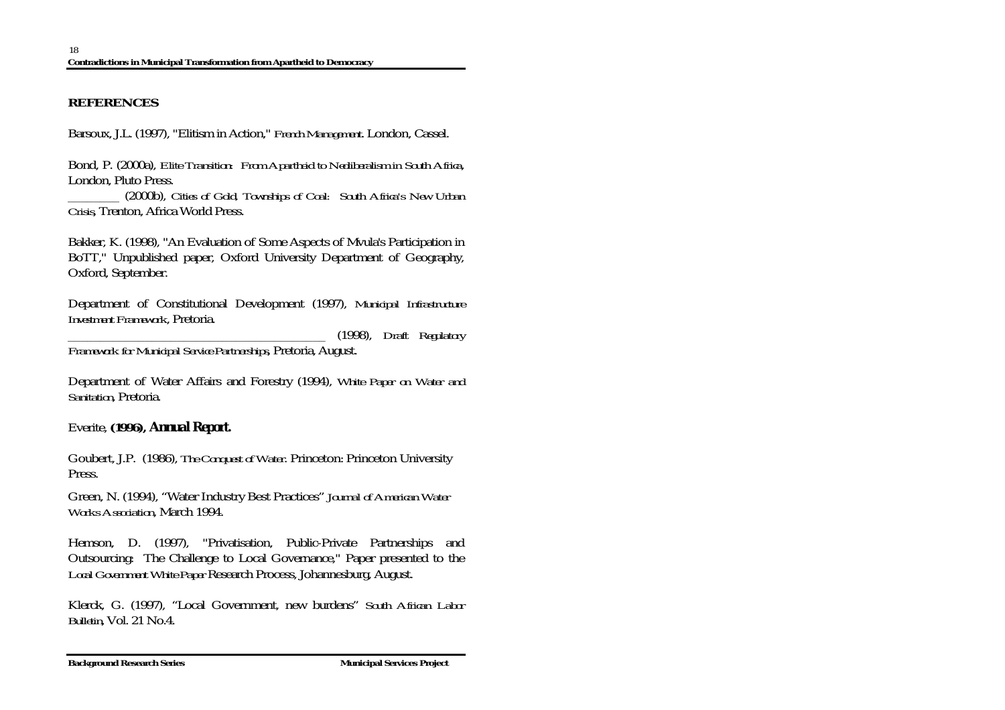## **REFERENCES**

Barsoux, J.L. (1997), "Elitism in Action," *French Management*. London, Cassel.

Bond, P. (2000a), *Elite Transition: From Apartheid to Neoliberalism in South Africa*, London, Pluto Press.

\_\_\_\_\_\_\_\_ (2000b), *Cities of Gold, Townships of Coal: South Africa's New Urban Crisis*, Trenton, Africa World Press.

Bakker, K. (1998), "An Evaluation of Some Aspects of Mvula's Participation in BoTT," Unpublished paper, Oxford University Department of Geography, Oxford, September.

Department of Constitutional Development (1997), *Municipal Infrastructure Investment Framework*, Pretoria.

\_\_\_\_\_\_\_\_\_\_\_\_\_\_\_\_\_\_\_\_\_\_\_\_\_\_\_\_\_\_\_\_\_\_\_\_\_\_\_\_ (1998), *Draft Regulatory* 

*Framework for Municipal Service Partnerships*, Pretoria, August.

Department of Water Affairs and Forestry (1994), *White Paper on Water and Sanitation*, Pretoria.

## Everite, **(1996),** *Annual Report.*

Goubert, J.P. (1986), *The Conquest of Water*. Princeton: Princeton University Press.

Green, N. (1994), "Water Industry Best Practices" *Journal of American Water Works Association*, March 1994.

Hemson, D. (1997), "Privatisation, Public-Private Partnerships and Outsourcing: The Challenge to Local Governance," Paper presented to the *Local Government White Paper* Research Process, Johannesburg, August.

Klerck, G. (1997), "Local Government, new burdens" *South African Labor Bulletin*, Vol. 21 No.4.